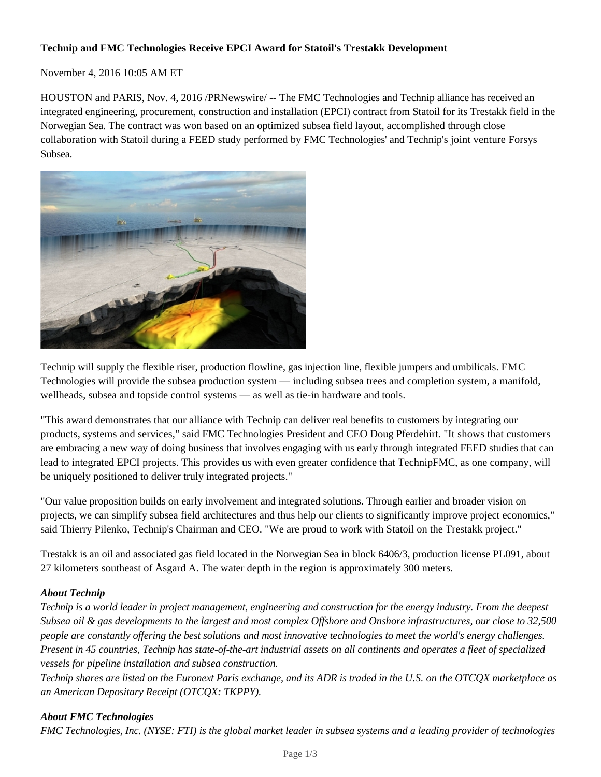## **Technip and FMC Technologies Receive EPCI Award for Statoil's Trestakk Development**

November 4, 2016 10:05 AM ET

HOUSTON and PARIS, Nov. 4, 2016 /PRNewswire/ -- The FMC Technologies and Technip alliance has received an integrated engineering, procurement, construction and installation (EPCI) contract from Statoil for its Trestakk field in the Norwegian Sea. The contract was won based on an optimized subsea field layout, accomplished through close collaboration with Statoil during a FEED study performed by FMC Technologies' and Technip's joint venture Forsys Subsea.



Technip will supply the flexible riser, production flowline, gas injection line, flexible jumpers and umbilicals. FMC Technologies will provide the subsea production system — including subsea trees and completion system, a manifold, wellheads, subsea and topside control systems — as well as tie-in hardware and tools.

"This award demonstrates that our alliance with Technip can deliver real benefits to customers by integrating our products, systems and services," said FMC Technologies President and CEO Doug Pferdehirt. "It shows that customers are embracing a new way of doing business that involves engaging with us early through integrated FEED studies that can lead to integrated EPCI projects. This provides us with even greater confidence that TechnipFMC, as one company, will be uniquely positioned to deliver truly integrated projects."

"Our value proposition builds on early involvement and integrated solutions. Through earlier and broader vision on projects, we can simplify subsea field architectures and thus help our clients to significantly improve project economics," said Thierry Pilenko, Technip's Chairman and CEO. "We are proud to work with Statoil on the Trestakk project."

Trestakk is an oil and associated gas field located in the Norwegian Sea in block 6406/3, production license PL091, about 27 kilometers southeast of Åsgard A. The water depth in the region is approximately 300 meters.

## *About Technip*

*Technip is a world leader in project management, engineering and construction for the energy industry. From the deepest Subsea oil & gas developments to the largest and most complex Offshore and Onshore infrastructures, our close to 32,500 people are constantly offering the best solutions and most innovative technologies to meet the world's energy challenges. Present in 45 countries, Technip has state-of-the-art industrial assets on all continents and operates a fleet of specialized vessels for pipeline installation and subsea construction.*

*Technip shares are listed on the Euronext Paris exchange, and its ADR is traded in the U.S. on the OTCQX marketplace as an American Depositary Receipt (OTCQX: TKPPY).*

## *About FMC Technologies*

*FMC Technologies, Inc. (NYSE: FTI) is the global market leader in subsea systems and a leading provider of technologies*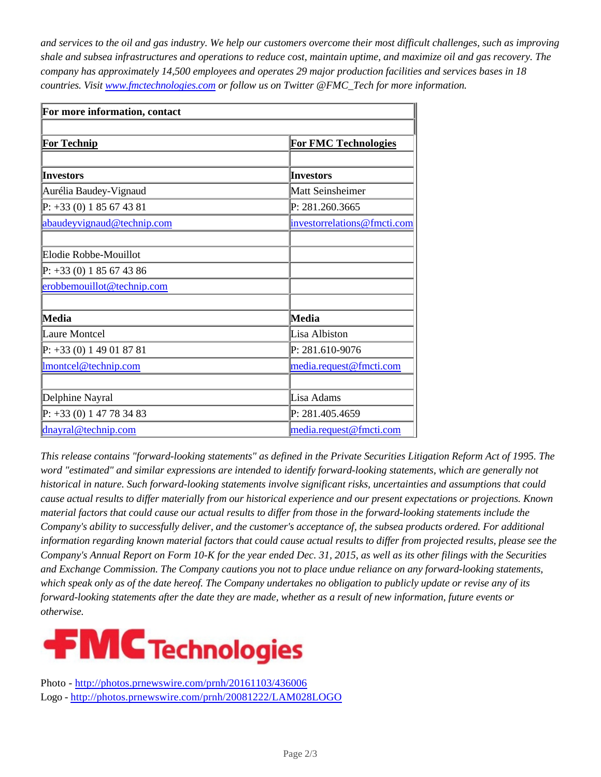*and services to the oil and gas industry. We help our customers overcome their most difficult challenges, such as improving shale and subsea infrastructures and operations to reduce cost, maintain uptime, and maximize oil and gas recovery. The company has approximately 14,500 employees and operates 29 major production facilities and services bases in 18 countries. Visit www.fmctechnologies.com or follow us on Twitter @FMC\_Tech for more information.*

| For more information, contact |                             |
|-------------------------------|-----------------------------|
|                               |                             |
| <b>For Technip</b>            | <b>For FMC Technologies</b> |
|                               |                             |
| <b>Investors</b>              | <b>Investors</b>            |
| Aurélia Baudey-Vignaud        | Matt Seinsheimer            |
| $P: +33(0) 1 85 67 43 81$     | P: 281.260.3665             |
| abaudeyvignaud@technip.com    | investorrelations@fmcti.com |
|                               |                             |
| Elodie Robbe-Mouillot         |                             |
| $P: +33(0) 1 85 67 43 86$     |                             |
| erobbemouillot@technip.com    |                             |
|                               |                             |
| Media                         | Media                       |
| Laure Montcel                 | Lisa Albiston               |
| $P: +33(0)149018781$          | P: 281.610-9076             |
| Imontcel@technip.com          | media.request@fmcti.com     |
|                               |                             |
| Delphine Nayral               | Lisa Adams                  |
| $P: +33(0) 1 47 78 34 83$     | P: 281.405.4659             |
| dnayral@technip.com           | media.request@fmcti.com     |

*This release contains "forward-looking statements" as defined in the Private Securities Litigation Reform Act of 1995. The word "estimated" and similar expressions are intended to identify forward-looking statements, which are generally not historical in nature. Such forward-looking statements involve significant risks, uncertainties and assumptions that could cause actual results to differ materially from our historical experience and our present expectations or projections. Known material factors that could cause our actual results to differ from those in the forward-looking statements include the Company's ability to successfully deliver, and the customer's acceptance of, the subsea products ordered. For additional information regarding known material factors that could cause actual results to differ from projected results, please see the Company's Annual Report on Form 10-K for the year ended Dec. 31, 2015, as well as its other filings with the Securities and Exchange Commission. The Company cautions you not to place undue reliance on any forward-looking statements, which speak only as of the date hereof. The Company undertakes no obligation to publicly update or revise any of its forward-looking statements after the date they are made, whether as a result of new information, future events or otherwise.*



Photo - http://photos.prnewswire.com/prnh/20161103/436006 Logo - http://photos.prnewswire.com/prnh/20081222/LAM028LOGO